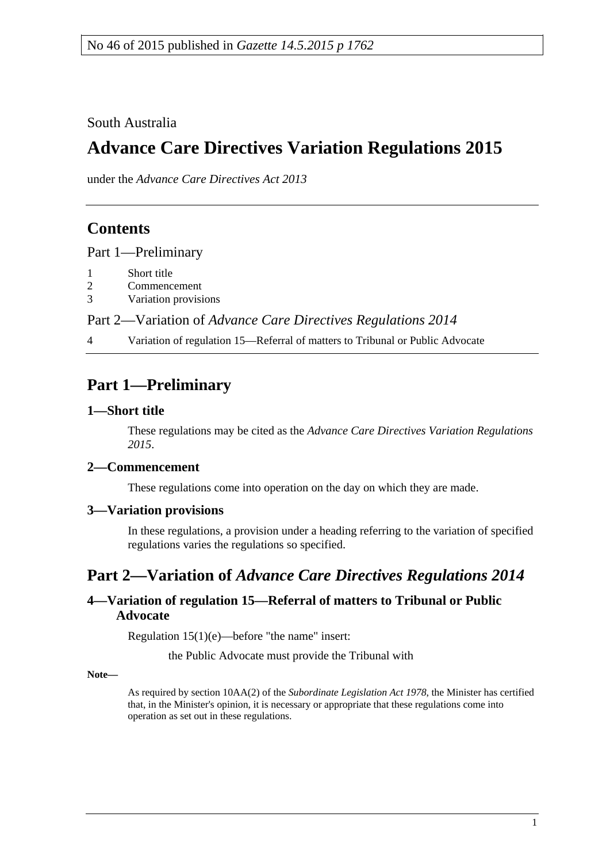South Australia

# **Advance Care Directives Variation Regulations 2015**

under the *Advance Care Directives Act 2013*

## **Contents**

Part [1—Preliminary](#page-0-0)

- 1 [Short title](#page-0-1)
- 2 [Commencement](#page-0-2)
- 3 [Variation provisions](#page-0-3)

Part 2—Variation of *[Advance Care Directives Regulations](#page-0-4) 2014*

4 [Variation of regulation 15—Referral of matters to Tribunal or Public Advocate](#page-0-5)

## <span id="page-0-0"></span>**Part 1—Preliminary**

#### <span id="page-0-1"></span>**1—Short title**

These regulations may be cited as the *Advance Care Directives Variation Regulations 2015*.

#### <span id="page-0-2"></span>**2—Commencement**

These regulations come into operation on the day on which they are made.

#### <span id="page-0-3"></span>**3—Variation provisions**

In these regulations, a provision under a heading referring to the variation of specified regulations varies the regulations so specified.

## <span id="page-0-4"></span>**Part 2—Variation of** *Advance Care Directives Regulations 2014*

#### <span id="page-0-5"></span>**4—Variation of regulation 15—Referral of matters to Tribunal or Public Advocate**

Regulation 15(1)(e)—before "the name" insert:

the Public Advocate must provide the Tribunal with

**Note—**

As required by section 10AA(2) of the *[Subordinate Legislation Act](http://www.legislation.sa.gov.au/index.aspx?action=legref&type=act&legtitle=Subordinate%20Legislation%20Act%201978) 1978*, the Minister has certified that, in the Minister's opinion, it is necessary or appropriate that these regulations come into operation as set out in these regulations.